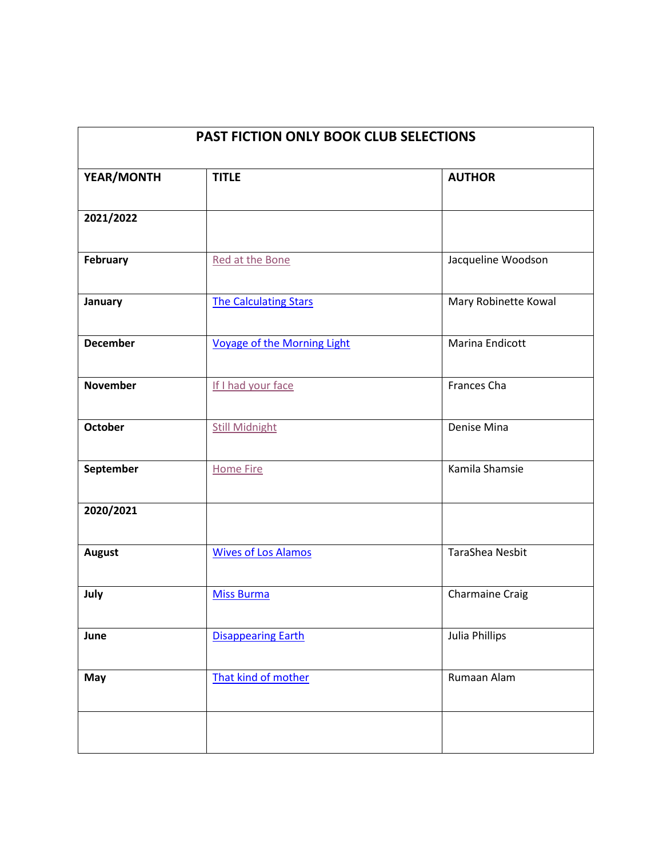| PAST FICTION ONLY BOOK CLUB SELECTIONS |                                    |                        |
|----------------------------------------|------------------------------------|------------------------|
| YEAR/MONTH                             | <b>TITLE</b>                       | <b>AUTHOR</b>          |
| 2021/2022                              |                                    |                        |
| February                               | Red at the Bone                    | Jacqueline Woodson     |
| January                                | <b>The Calculating Stars</b>       | Mary Robinette Kowal   |
| <b>December</b>                        | <b>Voyage of the Morning Light</b> | Marina Endicott        |
| <b>November</b>                        | If I had your face                 | Frances Cha            |
| <b>October</b>                         | <b>Still Midnight</b>              | Denise Mina            |
| September                              | <b>Home Fire</b>                   | Kamila Shamsie         |
| 2020/2021                              |                                    |                        |
| <b>August</b>                          | <b>Wives of Los Alamos</b>         | <b>TaraShea Nesbit</b> |
| July                                   | <b>Miss Burma</b>                  | <b>Charmaine Craig</b> |
| June                                   | <b>Disappearing Earth</b>          | Julia Phillips         |
| May                                    | That kind of mother                | Rumaan Alam            |
|                                        |                                    |                        |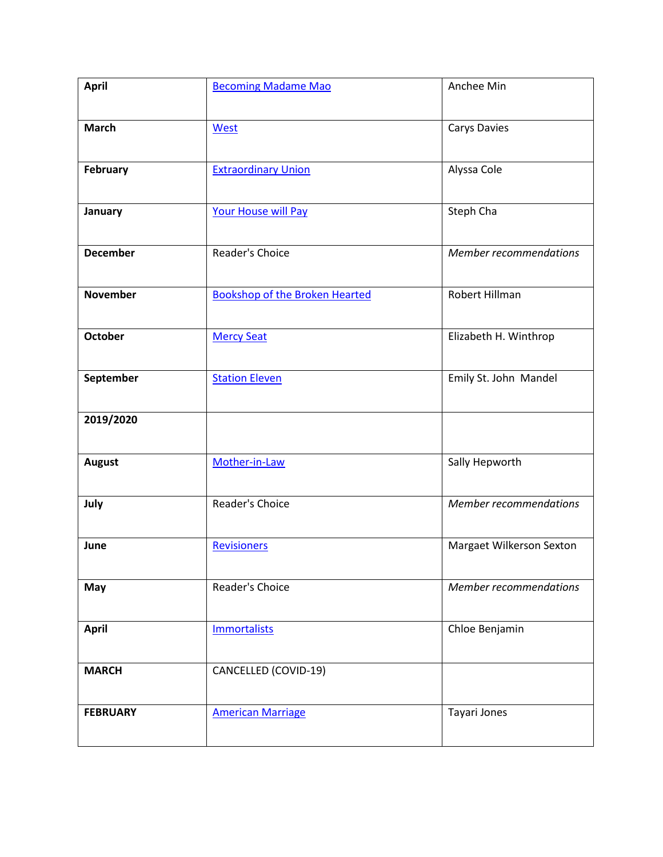| <b>April</b>    | <b>Becoming Madame Mao</b>            | Anchee Min                    |
|-----------------|---------------------------------------|-------------------------------|
| <b>March</b>    | West                                  | <b>Carys Davies</b>           |
| February        | <b>Extraordinary Union</b>            | Alyssa Cole                   |
| January         | <b>Your House will Pay</b>            | Steph Cha                     |
| <b>December</b> | Reader's Choice                       | <b>Member recommendations</b> |
| <b>November</b> | <b>Bookshop of the Broken Hearted</b> | Robert Hillman                |
| <b>October</b>  | <b>Mercy Seat</b>                     | Elizabeth H. Winthrop         |
| September       | <b>Station Eleven</b>                 | Emily St. John Mandel         |
| 2019/2020       |                                       |                               |
| <b>August</b>   | Mother-in-Law                         | Sally Hepworth                |
| July            | Reader's Choice                       | <b>Member recommendations</b> |
| June            | <b>Revisioners</b>                    | Margaet Wilkerson Sexton      |
| May             | Reader's Choice                       | <b>Member recommendations</b> |
| <b>April</b>    | <b>Immortalists</b>                   | Chloe Benjamin                |
| <b>MARCH</b>    | CANCELLED (COVID-19)                  |                               |
| <b>FEBRUARY</b> | <b>American Marriage</b>              | Tayari Jones                  |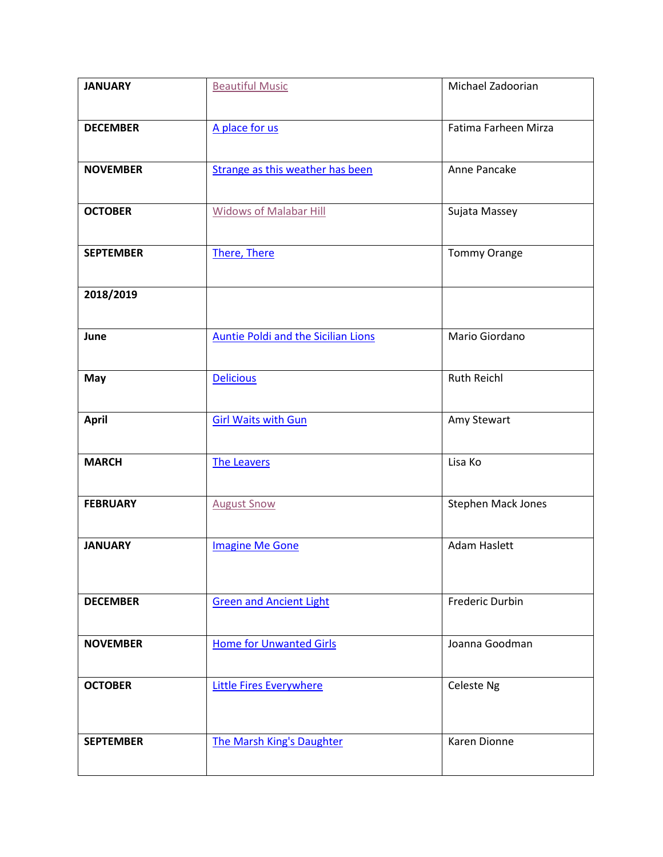| <b>JANUARY</b>   | <b>Beautiful Music</b>                     | Michael Zadoorian         |
|------------------|--------------------------------------------|---------------------------|
|                  |                                            |                           |
| <b>DECEMBER</b>  | A place for us                             | Fatima Farheen Mirza      |
|                  |                                            |                           |
| <b>NOVEMBER</b>  | Strange as this weather has been           | Anne Pancake              |
|                  |                                            |                           |
| <b>OCTOBER</b>   | <b>Widows of Malabar Hill</b>              | Sujata Massey             |
| <b>SEPTEMBER</b> |                                            |                           |
|                  | There, There                               | <b>Tommy Orange</b>       |
| 2018/2019        |                                            |                           |
|                  |                                            |                           |
| June             | <b>Auntie Poldi and the Sicilian Lions</b> | Mario Giordano            |
|                  |                                            |                           |
| May              | <b>Delicious</b>                           | <b>Ruth Reichl</b>        |
|                  |                                            |                           |
| <b>April</b>     | <b>Girl Waits with Gun</b>                 | Amy Stewart               |
|                  |                                            |                           |
| <b>MARCH</b>     | <b>The Leavers</b>                         | Lisa Ko                   |
|                  |                                            |                           |
| <b>FEBRUARY</b>  | <b>August Snow</b>                         | <b>Stephen Mack Jones</b> |
| <b>JANUARY</b>   | <b>Imagine Me Gone</b>                     | <b>Adam Haslett</b>       |
|                  |                                            |                           |
|                  |                                            |                           |
| <b>DECEMBER</b>  | <b>Green and Ancient Light</b>             | <b>Frederic Durbin</b>    |
|                  |                                            |                           |
| <b>NOVEMBER</b>  | <b>Home for Unwanted Girls</b>             | Joanna Goodman            |
|                  |                                            |                           |
| <b>OCTOBER</b>   | <b>Little Fires Everywhere</b>             | Celeste Ng                |
|                  |                                            |                           |
| <b>SEPTEMBER</b> | <b>The Marsh King's Daughter</b>           | Karen Dionne              |
|                  |                                            |                           |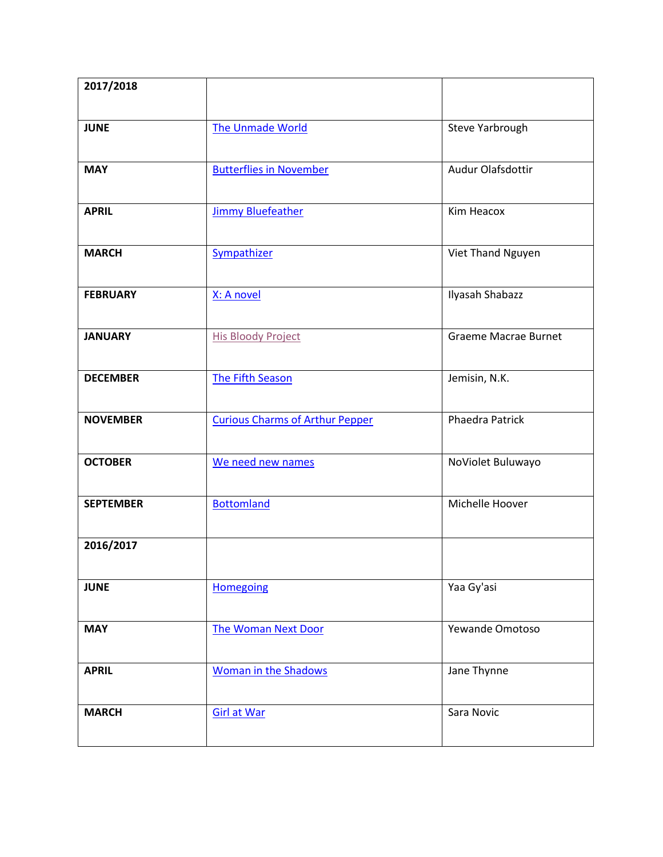| 2017/2018        |                                        |                             |
|------------------|----------------------------------------|-----------------------------|
| <b>JUNE</b>      | <b>The Unmade World</b>                | Steve Yarbrough             |
| <b>MAY</b>       | <b>Butterflies in November</b>         | Audur Olafsdottir           |
| <b>APRIL</b>     | <b>Jimmy Bluefeather</b>               | Kim Heacox                  |
| <b>MARCH</b>     | Sympathizer                            | Viet Thand Nguyen           |
| <b>FEBRUARY</b>  | X: A novel                             | Ilyasah Shabazz             |
| <b>JANUARY</b>   | <b>His Bloody Project</b>              | <b>Graeme Macrae Burnet</b> |
| <b>DECEMBER</b>  | The Fifth Season                       | Jemisin, N.K.               |
| <b>NOVEMBER</b>  | <b>Curious Charms of Arthur Pepper</b> | <b>Phaedra Patrick</b>      |
| <b>OCTOBER</b>   | We need new names                      | NoViolet Buluwayo           |
| <b>SEPTEMBER</b> | <b>Bottomland</b>                      | Michelle Hoover             |
| 2016/2017        |                                        |                             |
| <b>JUNE</b>      | <b>Homegoing</b>                       | Yaa Gy'asi                  |
| <b>MAY</b>       | <b>The Woman Next Door</b>             | Yewande Omotoso             |
| <b>APRIL</b>     | <b>Woman in the Shadows</b>            | Jane Thynne                 |
| <b>MARCH</b>     | <b>Girl at War</b>                     | Sara Novic                  |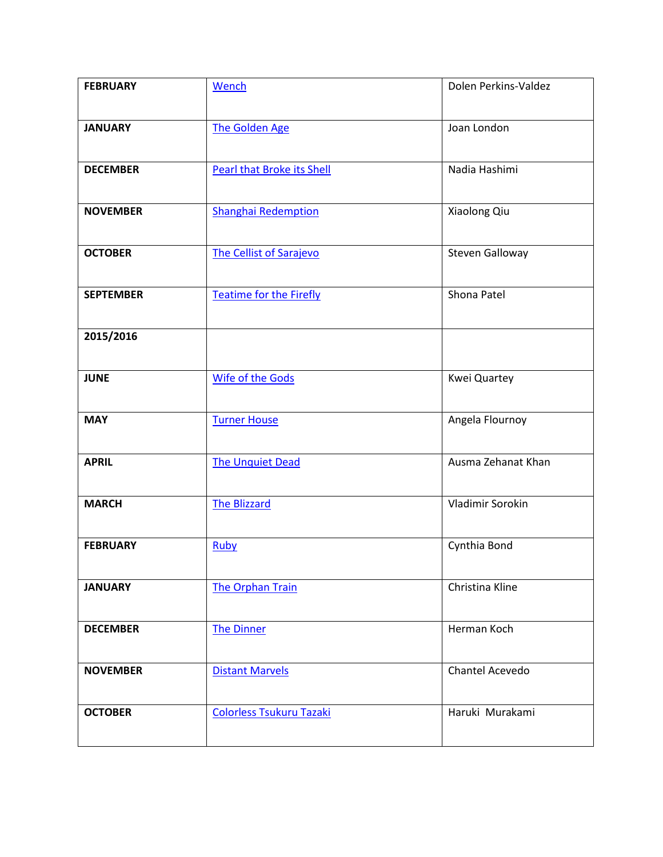| <b>FEBRUARY</b>  | Wench                             | Dolen Perkins-Valdez   |
|------------------|-----------------------------------|------------------------|
| <b>JANUARY</b>   | <b>The Golden Age</b>             | Joan London            |
|                  |                                   |                        |
| <b>DECEMBER</b>  | <b>Pearl that Broke its Shell</b> | Nadia Hashimi          |
| <b>NOVEMBER</b>  | <b>Shanghai Redemption</b>        | Xiaolong Qiu           |
| <b>OCTOBER</b>   | <b>The Cellist of Sarajevo</b>    | <b>Steven Galloway</b> |
| <b>SEPTEMBER</b> | <b>Teatime for the Firefly</b>    | Shona Patel            |
| 2015/2016        |                                   |                        |
| <b>JUNE</b>      | <b>Wife of the Gods</b>           | Kwei Quartey           |
| <b>MAY</b>       | <b>Turner House</b>               | Angela Flournoy        |
| <b>APRIL</b>     | <b>The Unquiet Dead</b>           | Ausma Zehanat Khan     |
| <b>MARCH</b>     | <b>The Blizzard</b>               | Vladimir Sorokin       |
| <b>FEBRUARY</b>  | Ruby                              | Cynthia Bond           |
| <b>JANUARY</b>   | <b>The Orphan Train</b>           | Christina Kline        |
| <b>DECEMBER</b>  | <b>The Dinner</b>                 | Herman Koch            |
| <b>NOVEMBER</b>  | <b>Distant Marvels</b>            | Chantel Acevedo        |
| <b>OCTOBER</b>   | <b>Colorless Tsukuru Tazaki</b>   | Haruki Murakami        |